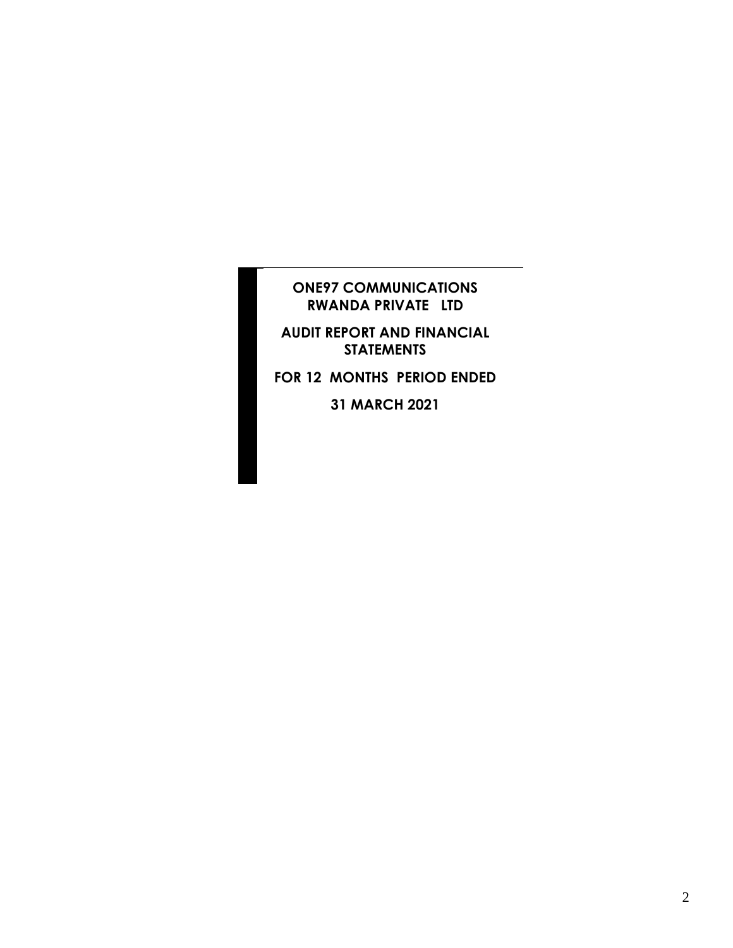# **ONE97 COMMUNICATIONS RWANDA PRIVATE LTD**

**AUDIT REPORT AND FINANCIAL STATEMENTS** 

**FOR 12 MONTHS PERIOD ENDED** 

**31 MARCH 2021**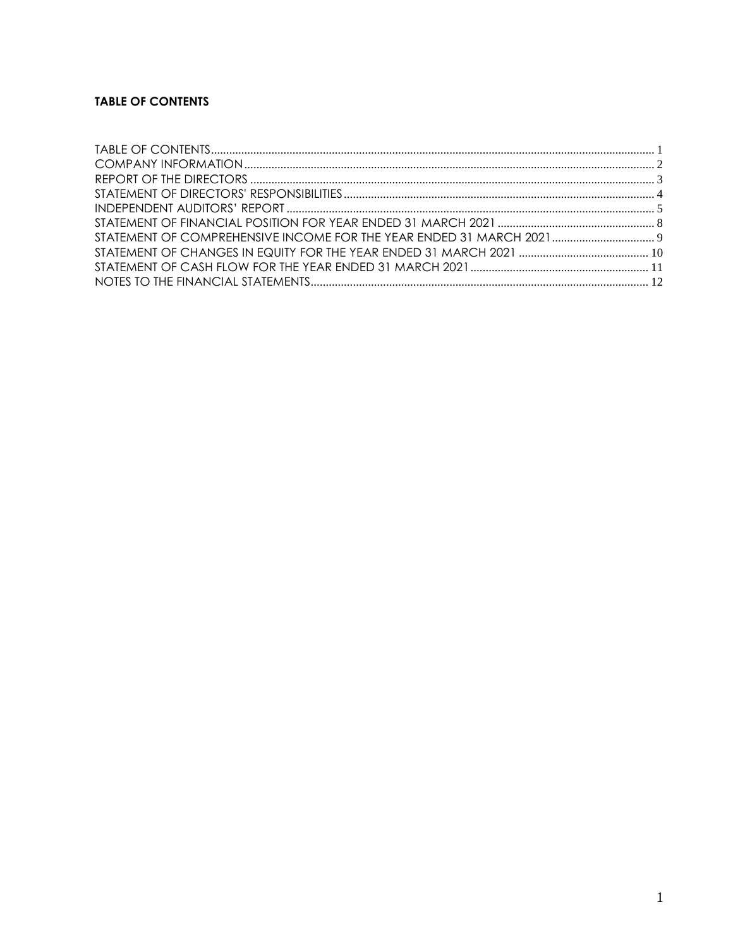# <span id="page-1-0"></span>**TABLE OF CONTENTS**

| STATEMENT OF COMPREHENSIVE INCOME FOR THE YEAR ENDED 31 MARCH 2021  9 |  |
|-----------------------------------------------------------------------|--|
|                                                                       |  |
|                                                                       |  |
|                                                                       |  |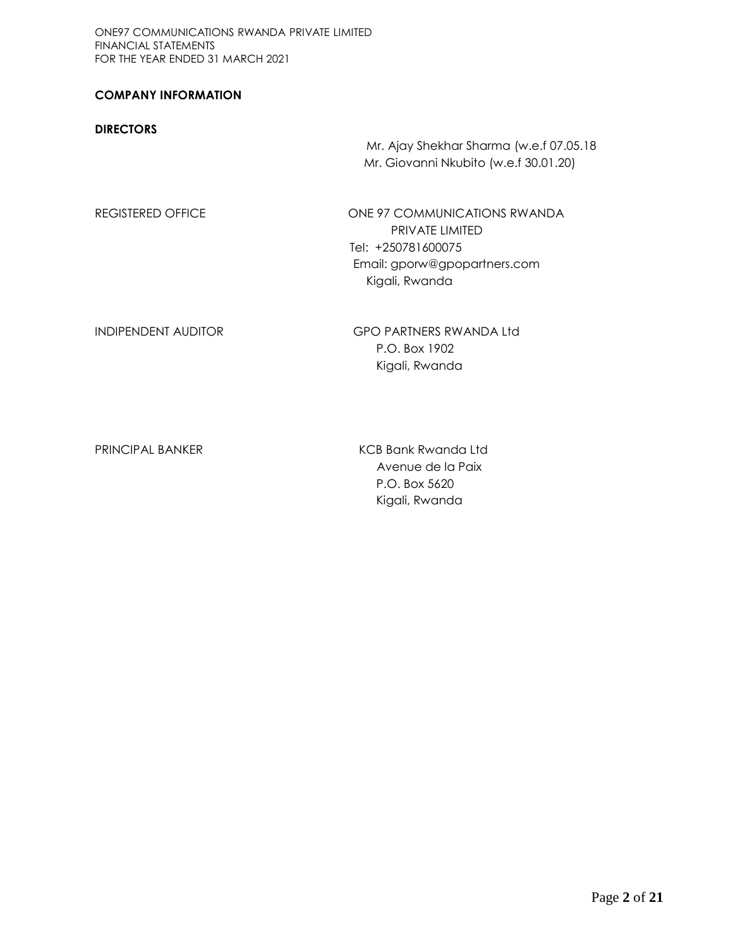# <span id="page-2-0"></span>**COMPANY INFORMATION**

#### **DIRECTORS**

 Mr. Ajay Shekhar Sharma (w.e.f 07.05.18 Mr. Giovanni Nkubito (w.e.f 30.01.20)

REGISTERED OFFICE **ONE 97 COMMUNICATIONS RWANDA** PRIVATE LIMITED Tel: +250781600075 Email: gporw@gpopartners.com Kigali, Rwanda

INDIPENDENT AUDITOR GPO PARTNERS RWANDA Ltd P.O. Box 1902 Kigali, Rwanda

PRINCIPAL BANKER KCB Bank Rwanda Ltd Avenue de la Paix P.O. Box 5620 Kigali, Rwanda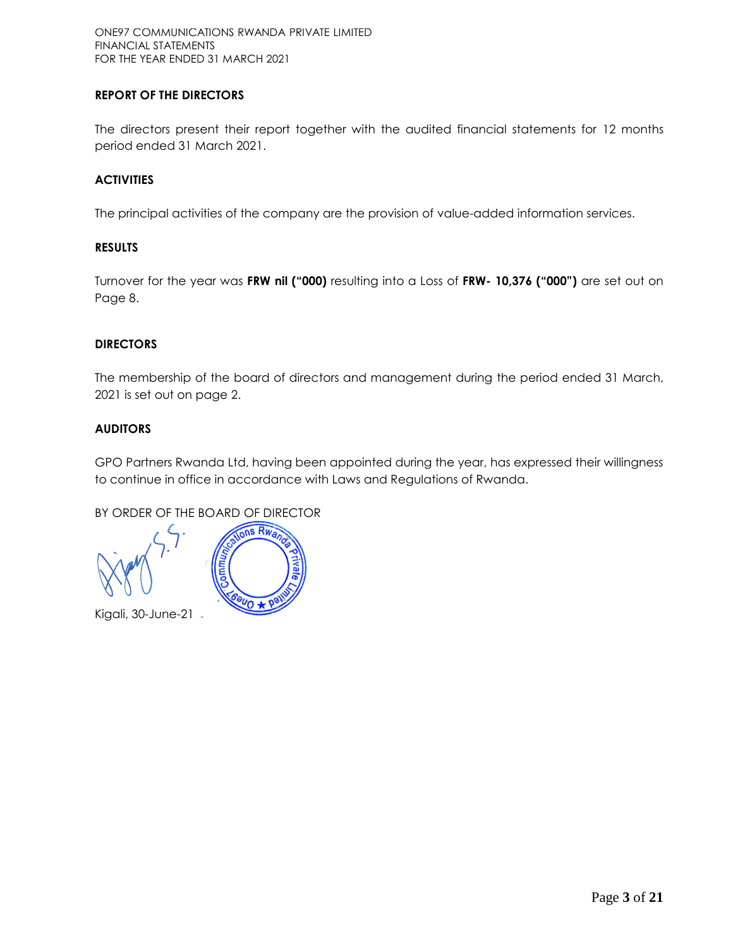# <span id="page-3-0"></span>**REPORT OF THE DIRECTORS**

The directors present their report together with the audited financial statements for 12 months period ended 31 March 2021.

### **ACTIVITIES**

The principal activities of the company are the provision of value-added information services.

### **RESULTS**

Turnover for the year was **FRW nil ("000)** resulting into a Loss of **FRW- 10,376 ("000")** are set out on Page 8.

### **DIRECTORS**

The membership of the board of directors and management during the period ended 31 March, 2021 is set out on page 2.

# **AUDITORS**

GPO Partners Rwanda Ltd, having been appointed during the year, has expressed their willingness to continue in office in accordance with Laws and Regulations of Rwanda.

BY ORDER OF THE BOARD OF DIRECTOR

ons Rwa  $\frac{1}{\sqrt{6}}$ Kigali, 30-June-21.

Page **3** of **21**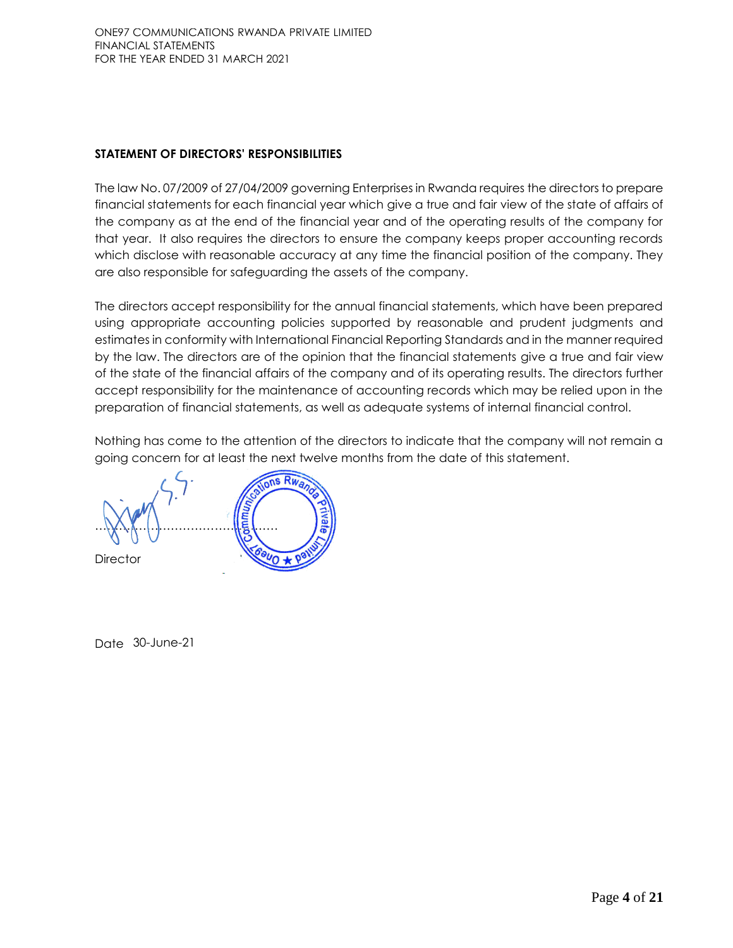# <span id="page-4-0"></span>**STATEMENT OF DIRECTORS' RESPONSIBILITIES**

The law No. 07/2009 of 27/04/2009 governing Enterprises in Rwanda requires the directors to prepare financial statements for each financial year which give a true and fair view of the state of affairs of the company as at the end of the financial year and of the operating results of the company for that year. It also requires the directors to ensure the company keeps proper accounting records which disclose with reasonable accuracy at any time the financial position of the company. They are also responsible for safeguarding the assets of the company.

The directors accept responsibility for the annual financial statements, which have been prepared using appropriate accounting policies supported by reasonable and prudent judgments and estimates in conformity with International Financial Reporting Standards and in the manner required by the law. The directors are of the opinion that the financial statements give a true and fair view of the state of the financial affairs of the company and of its operating results. The directors further accept responsibility for the maintenance of accounting records which may be relied upon in the preparation of financial statements, as well as adequate systems of internal financial control.

Nothing has come to the attention of the directors to indicate that the company will not remain a going concern for at least the next twelve months from the date of this statement.

ons Rwan ………………………………………. **Director** 

Date 30-June-21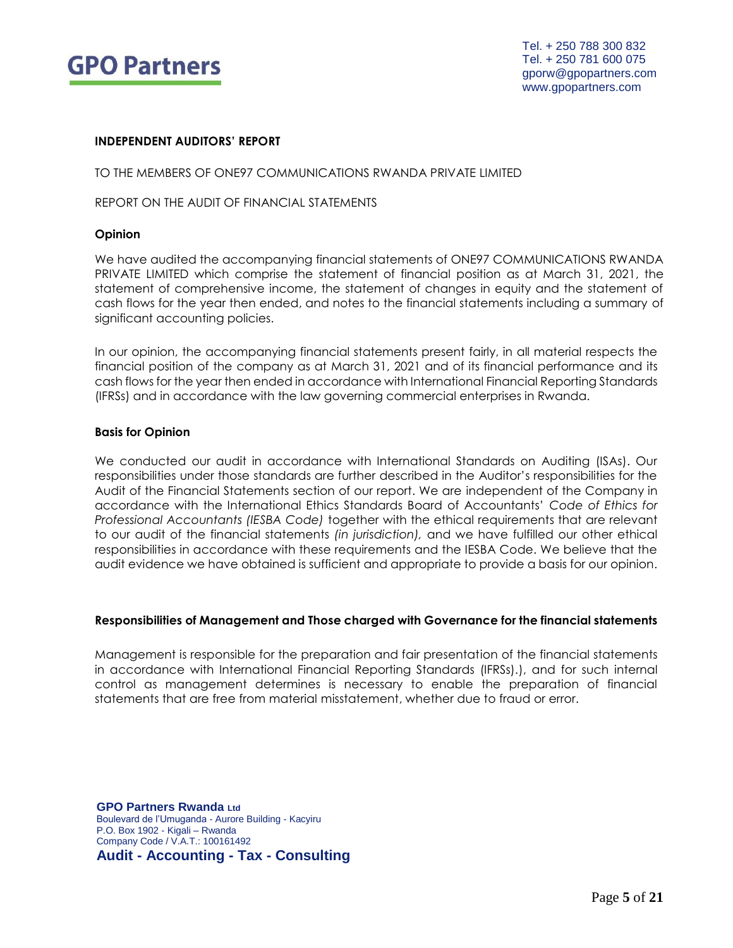

#### <span id="page-5-0"></span>**INDEPENDENT AUDITORS' REPORT**

TO THE MEMBERS OF ONE97 COMMUNICATIONS RWANDA PRIVATE LIMITED

REPORT ON THE AUDIT OF FINANCIAL STATEMENTS

#### **Opinion**

We have audited the accompanying financial statements of ONE97 COMMUNICATIONS RWANDA PRIVATE LIMITED which comprise the statement of financial position as at March 31, 2021, the statement of comprehensive income, the statement of changes in equity and the statement of cash flows for the year then ended, and notes to the financial statements including a summary of significant accounting policies.

In our opinion, the accompanying financial statements present fairly, in all material respects the financial position of the company as at March 31, 2021 and of its financial performance and its cash flows for the year then ended in accordance with International Financial Reporting Standards (IFRSs) and in accordance with the law governing commercial enterprises in Rwanda.

#### **Basis for Opinion**

We conducted our audit in accordance with International Standards on Auditing (ISAs). Our responsibilities under those standards are further described in the Auditor's responsibilities for the Audit of the Financial Statements section of our report. We are independent of the Company in accordance with the International Ethics Standards Board of Accountants' *Code of Ethics for Professional Accountants (IESBA Code)* together with the ethical requirements that are relevant to our audit of the financial statements *(in jurisdiction),* and we have fulfilled our other ethical responsibilities in accordance with these requirements and the IESBA Code. We believe that the audit evidence we have obtained is sufficient and appropriate to provide a basis for our opinion.

#### **Responsibilities of Management and Those charged with Governance for the financial statements**

Management is responsible for the preparation and fair presentation of the financial statements in accordance with International Financial Reporting Standards (IFRSs).), and for such internal control as management determines is necessary to enable the preparation of financial statements that are free from material misstatement, whether due to fraud or error.

**GPO Partners Rwanda Ltd** Boulevard de l'Umuganda - Aurore Building - Kacyiru P.O. Box 1902 - Kigali – Rwanda Company Code / V.A.T.: 100161492 **Audit - Accounting - Tax - Consulting**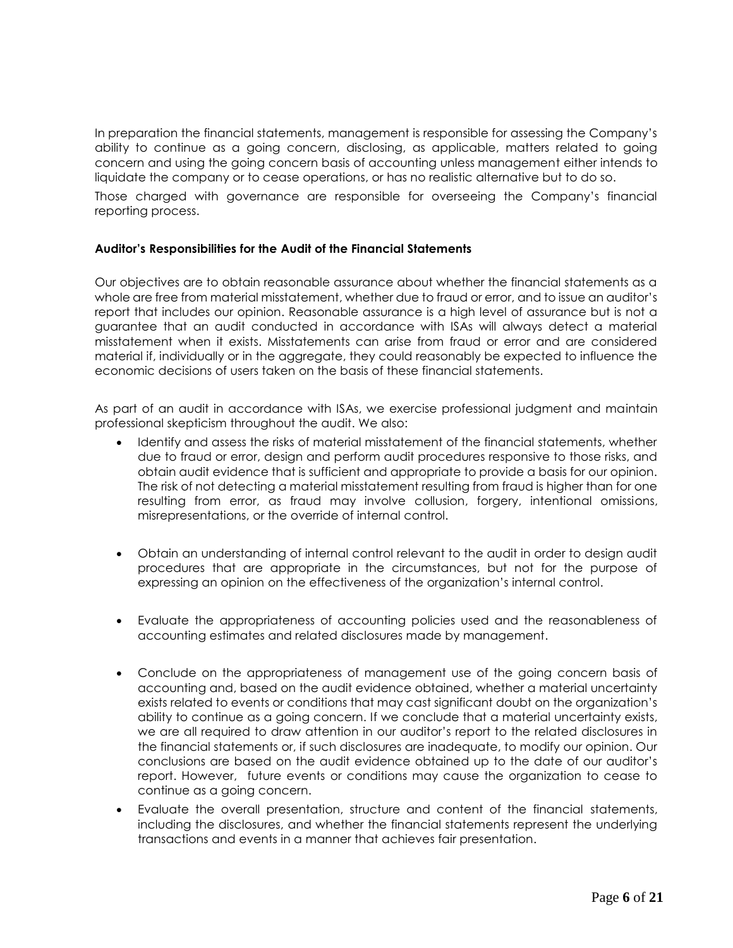In preparation the financial statements, management is responsible for assessing the Company's ability to continue as a going concern, disclosing, as applicable, matters related to going concern and using the going concern basis of accounting unless management either intends to liquidate the company or to cease operations, or has no realistic alternative but to do so.

Those charged with governance are responsible for overseeing the Company's financial reporting process.

### **Auditor's Responsibilities for the Audit of the Financial Statements**

Our objectives are to obtain reasonable assurance about whether the financial statements as a whole are free from material misstatement, whether due to fraud or error, and to issue an auditor's report that includes our opinion. Reasonable assurance is a high level of assurance but is not a guarantee that an audit conducted in accordance with ISAs will always detect a material misstatement when it exists. Misstatements can arise from fraud or error and are considered material if, individually or in the aggregate, they could reasonably be expected to influence the economic decisions of users taken on the basis of these financial statements.

As part of an audit in accordance with ISAs, we exercise professional judgment and maintain professional skepticism throughout the audit. We also:

- Identify and assess the risks of material misstatement of the financial statements, whether due to fraud or error, design and perform audit procedures responsive to those risks, and obtain audit evidence that is sufficient and appropriate to provide a basis for our opinion. The risk of not detecting a material misstatement resulting from fraud is higher than for one resulting from error, as fraud may involve collusion, forgery, intentional omissions, misrepresentations, or the override of internal control.
- Obtain an understanding of internal control relevant to the audit in order to design audit procedures that are appropriate in the circumstances, but not for the purpose of expressing an opinion on the effectiveness of the organization's internal control.
- Evaluate the appropriateness of accounting policies used and the reasonableness of accounting estimates and related disclosures made by management.
- Conclude on the appropriateness of management use of the going concern basis of accounting and, based on the audit evidence obtained, whether a material uncertainty exists related to events or conditions that may cast significant doubt on the organization's ability to continue as a going concern. If we conclude that a material uncertainty exists, we are all required to draw attention in our auditor's report to the related disclosures in the financial statements or, if such disclosures are inadequate, to modify our opinion. Our conclusions are based on the audit evidence obtained up to the date of our auditor's report. However, future events or conditions may cause the organization to cease to continue as a going concern.
- Evaluate the overall presentation, structure and content of the financial statements, including the disclosures, and whether the financial statements represent the underlying transactions and events in a manner that achieves fair presentation.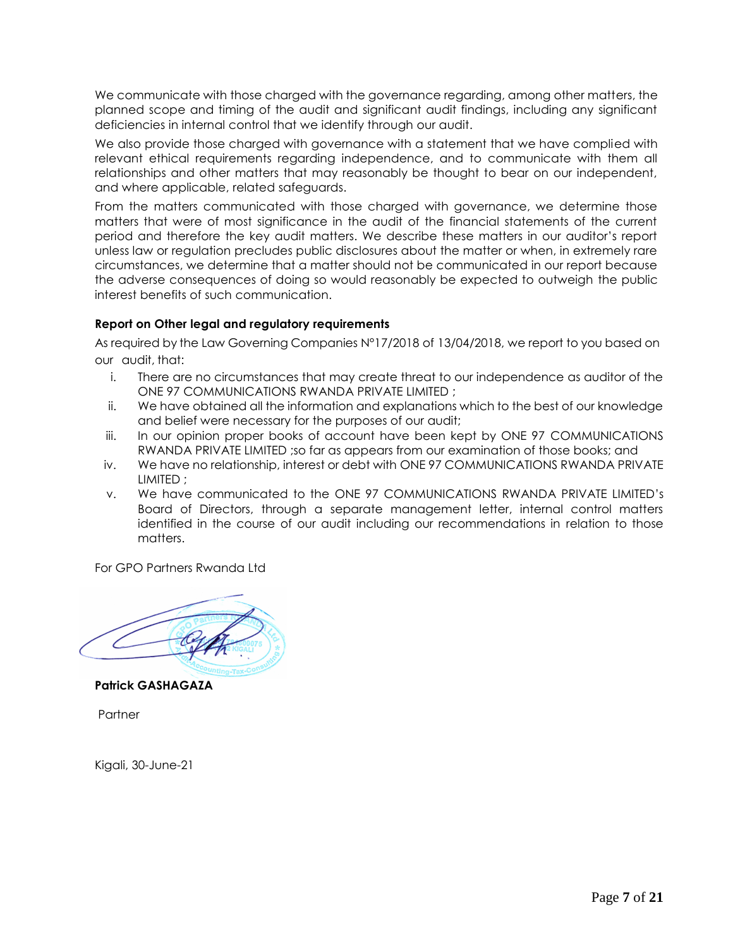We communicate with those charged with the governance regarding, among other matters, the planned scope and timing of the audit and significant audit findings, including any significant deficiencies in internal control that we identify through our audit.

We also provide those charged with governance with a statement that we have complied with relevant ethical requirements regarding independence, and to communicate with them all relationships and other matters that may reasonably be thought to bear on our independent, and where applicable, related safeguards.

From the matters communicated with those charged with governance, we determine those matters that were of most significance in the audit of the financial statements of the current period and therefore the key audit matters. We describe these matters in our auditor's report unless law or regulation precludes public disclosures about the matter or when, in extremely rare circumstances, we determine that a matter should not be communicated in our report because the adverse consequences of doing so would reasonably be expected to outweigh the public interest benefits of such communication.

# **Report on Other legal and regulatory requirements**

As required by the Law Governing Companies N°17/2018 of 13/04/2018, we report to you based on our audit, that:

- i. There are no circumstances that may create threat to our independence as auditor of the ONE 97 COMMUNICATIONS RWANDA PRIVATE LIMITED ;
- ii. We have obtained all the information and explanations which to the best of our knowledge and belief were necessary for the purposes of our audit;
- iii. In our opinion proper books of account have been kept by ONE 97 COMMUNICATIONS RWANDA PRIVATE LIMITED ;so far as appears from our examination of those books; and
- iv. We have no relationship, interest or debt with ONE 97 COMMUNICATIONS RWANDA PRIVATE LIMITED ;
- v. We have communicated to the ONE 97 COMMUNICATIONS RWANDA PRIVATE LIMITED's Board of Directors, through a separate management letter, internal control matters identified in the course of our audit including our recommendations in relation to those matters.

For GPO Partners Rwanda Ltd



**Patrick GASHAGAZA** 

Partner

Kigali, 30-June-21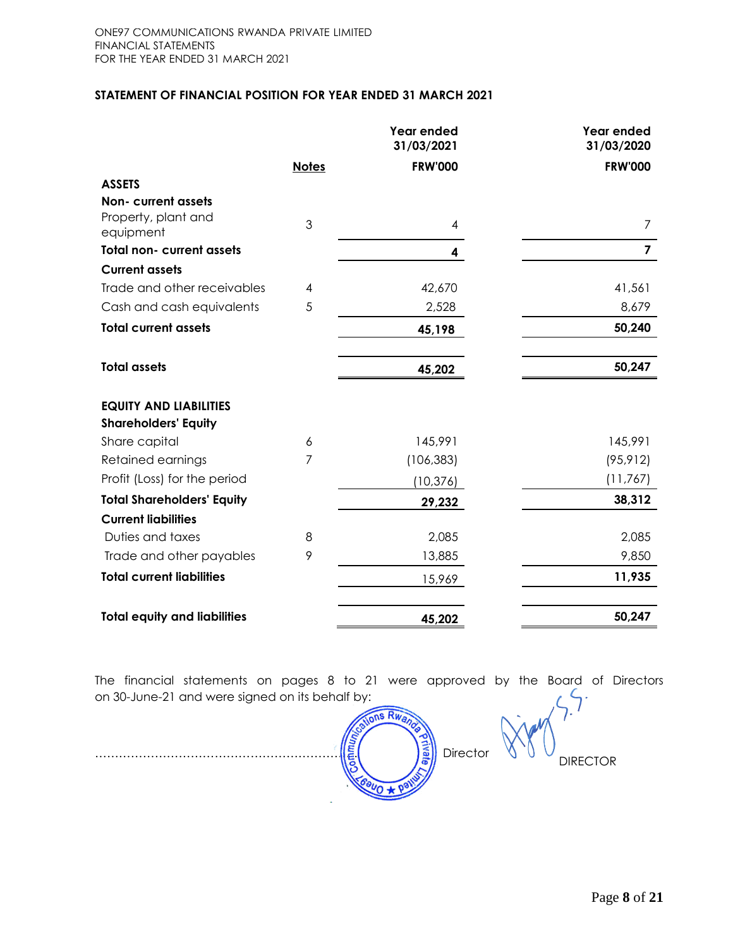# STATEMENT OF FINANCIAL POSITION FOR YEAR ENDED 31 MARCH 2021

|                                     |                | Year ended<br>31/03/2021 | Year ended<br>31/03/2020 |
|-------------------------------------|----------------|--------------------------|--------------------------|
|                                     | <b>Notes</b>   | <b>FRW'000</b>           | <b>FRW'000</b>           |
| <b>ASSETS</b>                       |                |                          |                          |
| <b>Non-current assets</b>           |                |                          |                          |
| Property, plant and<br>equipment    | 3              | 4                        | 7                        |
| <b>Total non- current assets</b>    |                | 4                        | $\overline{\mathbf{z}}$  |
| <b>Current assets</b>               |                |                          |                          |
| Trade and other receivables         | 4              | 42,670                   | 41,561                   |
| Cash and cash equivalents           | 5              | 2,528                    | 8,679                    |
| <b>Total current assets</b>         |                | 45,198                   | 50,240                   |
| <b>Total assets</b>                 |                | 45,202                   | 50,247                   |
| <b>EQUITY AND LIABILITIES</b>       |                |                          |                          |
| <b>Shareholders' Equity</b>         |                |                          |                          |
| Share capital                       | 6              | 145,991                  | 145,991                  |
| Retained earnings                   | $\overline{7}$ | (106, 383)               | (95, 912)                |
| Profit (Loss) for the period        |                | (10, 376)                | (11, 767)                |
| <b>Total Shareholders' Equity</b>   |                | 29,232                   | 38,312                   |
| <b>Current liabilities</b>          |                |                          |                          |
| Duties and taxes                    | 8              | 2,085                    | 2,085                    |
| Trade and other payables            | 9              | 13,885                   | 9,850                    |
| <b>Total current liabilities</b>    |                | 15,969                   | 11,935                   |
| <b>Total equity and liabilities</b> |                | 45,202                   | 50,247                   |

The financial statements on pages 8 to 21 were approved by the Board of Directors on 30-June-21 and were signed on its behalf by:

ons Rwang **Private** Director  $600+1$ 

**DIRECTOR**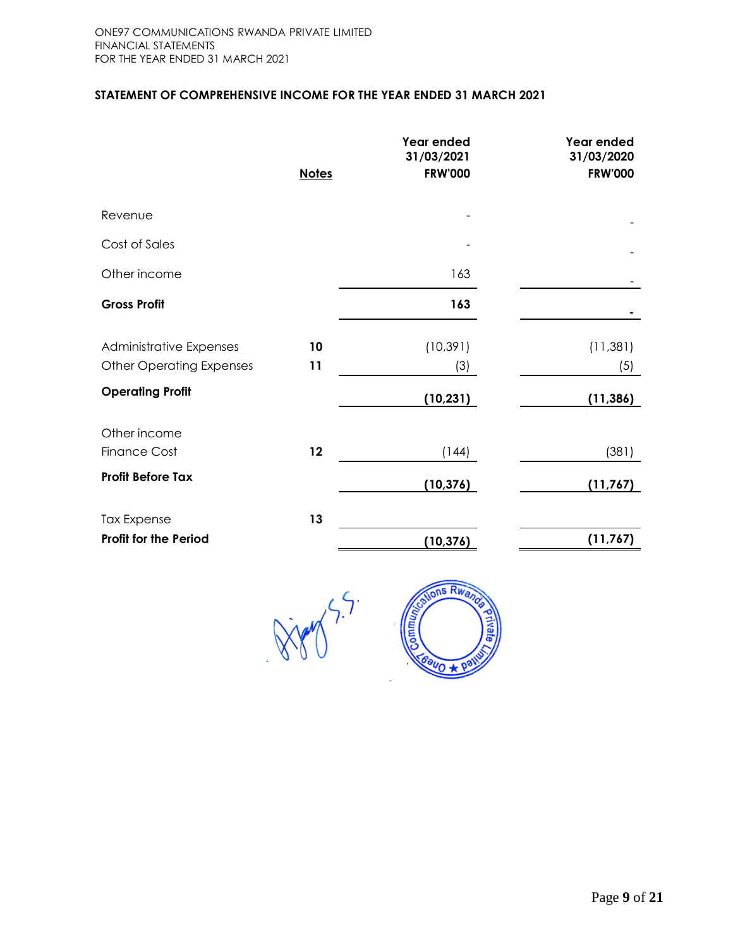# <span id="page-9-0"></span>**STATEMENT OF COMPREHENSIVE INCOME FOR THE YEAR ENDED 31 MARCH 2021**

|                                                            | <b>Notes</b> | <b>Year ended</b><br>31/03/2021<br><b>FRW'000</b> | Year ended<br>31/03/2020<br><b>FRW'000</b> |
|------------------------------------------------------------|--------------|---------------------------------------------------|--------------------------------------------|
| Revenue                                                    |              |                                                   |                                            |
| Cost of Sales                                              |              |                                                   |                                            |
| Other income                                               |              | 163                                               |                                            |
| <b>Gross Profit</b>                                        |              | 163                                               |                                            |
| Administrative Expenses<br><b>Other Operating Expenses</b> | 10<br>11     | (10, 391)<br>(3)                                  | (11, 381)<br>(5)                           |
| <b>Operating Profit</b>                                    |              | (10, 231)                                         | (11, 386)                                  |
| Other income<br><b>Finance Cost</b>                        | 12           | (144)                                             | (381)                                      |
| <b>Profit Before Tax</b>                                   |              | (10, 376)                                         | (11, 767)                                  |
| <b>Tax Expense</b>                                         | 13           |                                                   |                                            |
| <b>Profit for the Period</b>                               |              | (10, 376)                                         | (11, 767)                                  |

 $\zeta$ 

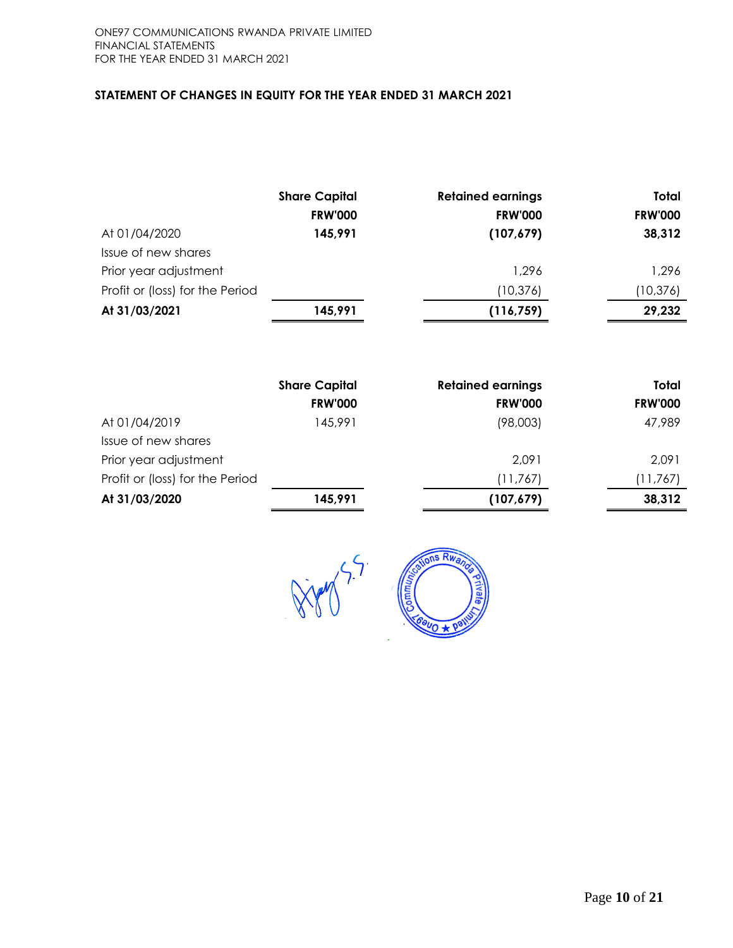# <span id="page-10-0"></span>**STATEMENT OF CHANGES IN EQUITY FOR THE YEAR ENDED 31 MARCH 2021**

|                                 | <b>Share Capital</b> | <b>Retained earnings</b> | Total          |
|---------------------------------|----------------------|--------------------------|----------------|
|                                 | <b>FRW'000</b>       | <b>FRW'000</b>           | <b>FRW'000</b> |
| At 01/04/2020                   | 145,991              | (107, 679)               | 38,312         |
| Issue of new shares             |                      |                          |                |
| Prior year adjustment           |                      | 1.296                    | 1,296          |
| Profit or (loss) for the Period |                      | (10, 376)                | (10, 376)      |
| At 31/03/2021                   | 145,991              | (116, 759)               | 29,232         |

|                                 | <b>Share Capital</b> | <b>Retained earnings</b> | Total          |
|---------------------------------|----------------------|--------------------------|----------------|
|                                 | <b>FRW'000</b>       | <b>FRW'000</b>           | <b>FRW'000</b> |
| At 01/04/2019                   | 145,991              | (98,003)                 | 47,989         |
| Issue of new shares             |                      |                          |                |
| Prior year adjustment           |                      | 2,091                    | 2,091          |
| Profit or (loss) for the Period |                      | (11,767)                 | (11, 767)      |
| At 31/03/2020                   | 145,991              | (107, 679)               | 38,312         |

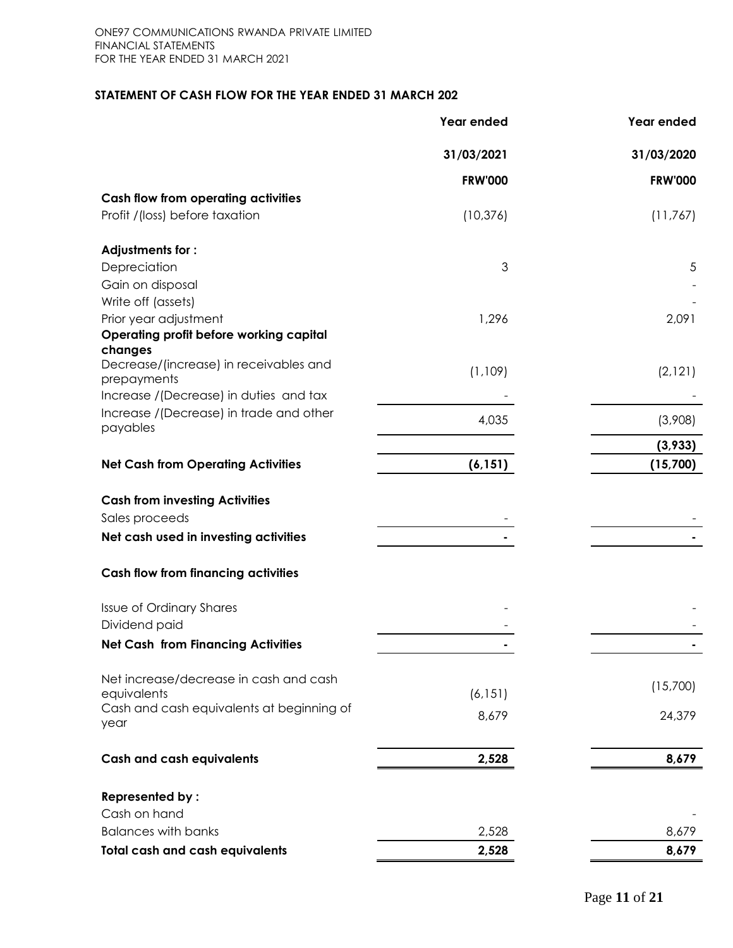# <span id="page-11-0"></span>**STATEMENT OF CASH FLOW FOR THE YEAR ENDED 31 MARCH 202**

|                                                     | Year ended     | Year ended     |
|-----------------------------------------------------|----------------|----------------|
|                                                     | 31/03/2021     | 31/03/2020     |
|                                                     | <b>FRW'000</b> | <b>FRW'000</b> |
| <b>Cash flow from operating activities</b>          |                |                |
| Profit /(loss) before taxation                      | (10, 376)      | (11, 767)      |
| Adjustments for:                                    |                |                |
| Depreciation                                        | 3              | 5              |
| Gain on disposal                                    |                |                |
| Write off (assets)                                  |                |                |
| Prior year adjustment                               | 1,296          | 2,091          |
| Operating profit before working capital<br>changes  |                |                |
| Decrease/(increase) in receivables and              |                |                |
| prepayments                                         | (1, 109)       | (2,121)        |
| Increase /(Decrease) in duties and tax              |                |                |
| Increase /(Decrease) in trade and other<br>payables | 4,035          | (3,908)        |
|                                                     |                | (3, 933)       |
| <b>Net Cash from Operating Activities</b>           | (6, 151)       | (15,700)       |
|                                                     |                |                |
| <b>Cash from investing Activities</b>               |                |                |
| Sales proceeds                                      |                |                |
| Net cash used in investing activities               |                |                |
| <b>Cash flow from financing activities</b>          |                |                |
| Issue of Ordinary Shares                            |                |                |
| Dividend paid                                       |                |                |
| <b>Net Cash from Financing Activities</b>           |                |                |
| Net increase/decrease in cash and cash              |                |                |
| equivalents                                         | (6, 151)       | (15,700)       |
| Cash and cash equivalents at beginning of           | 8,679          | 24,379         |
| year                                                |                |                |
| <b>Cash and cash equivalents</b>                    | 2,528          | 8,679          |
| <b>Represented by:</b>                              |                |                |
| Cash on hand                                        |                |                |
| <b>Balances with banks</b>                          | 2,528          | 8,679          |
| <b>Total cash and cash equivalents</b>              | 2,528          | 8,679          |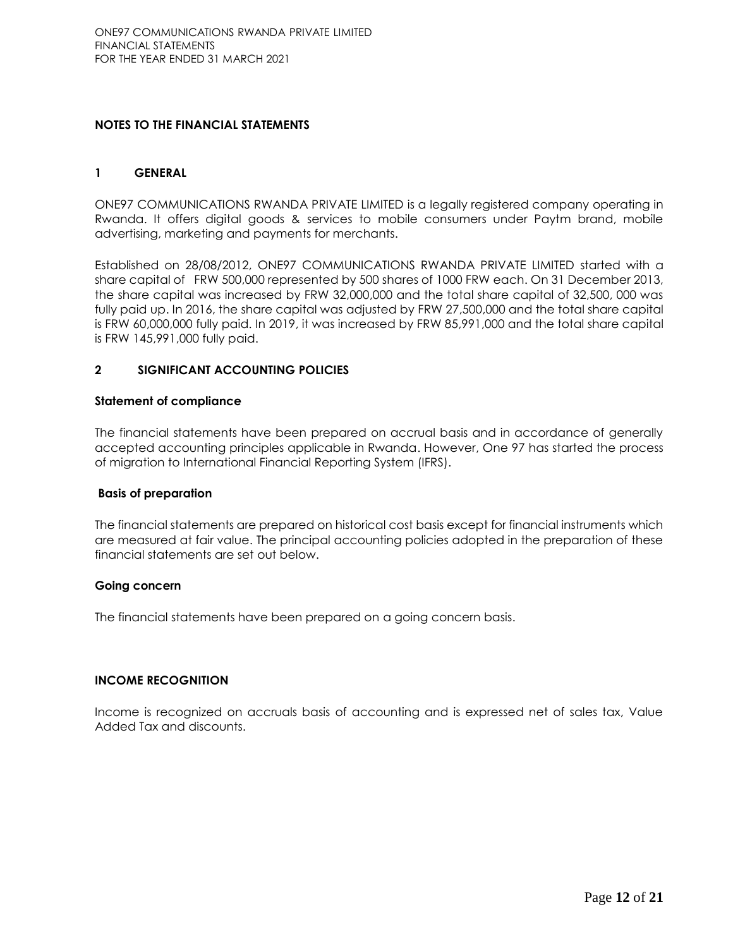### <span id="page-12-0"></span>**NOTES TO THE FINANCIAL STATEMENTS**

#### **1 GENERAL**

ONE97 COMMUNICATIONS RWANDA PRIVATE LIMITED is a legally registered company operating in Rwanda. It offers digital goods & services to mobile consumers under Paytm brand, mobile advertising, marketing and payments for merchants.

Established on 28/08/2012, ONE97 COMMUNICATIONS RWANDA PRIVATE LIMITED started with a share capital of FRW 500,000 represented by 500 shares of 1000 FRW each. On 31 December 2013, the share capital was increased by FRW 32,000,000 and the total share capital of 32,500, 000 was fully paid up. In 2016, the share capital was adjusted by FRW 27,500,000 and the total share capital is FRW 60,000,000 fully paid. In 2019, it was increased by FRW 85,991,000 and the total share capital is FRW 145,991,000 fully paid.

### **2 SIGNIFICANT ACCOUNTING POLICIES**

#### **Statement of compliance**

The financial statements have been prepared on accrual basis and in accordance of generally accepted accounting principles applicable in Rwanda. However, One 97 has started the process of migration to International Financial Reporting System (IFRS).

#### **Basis of preparation**

The financial statements are prepared on historical cost basis except for financial instruments which are measured at fair value. The principal accounting policies adopted in the preparation of these financial statements are set out below.

#### **Going concern**

The financial statements have been prepared on a going concern basis.

#### **INCOME RECOGNITION**

Income is recognized on accruals basis of accounting and is expressed net of sales tax, Value Added Tax and discounts.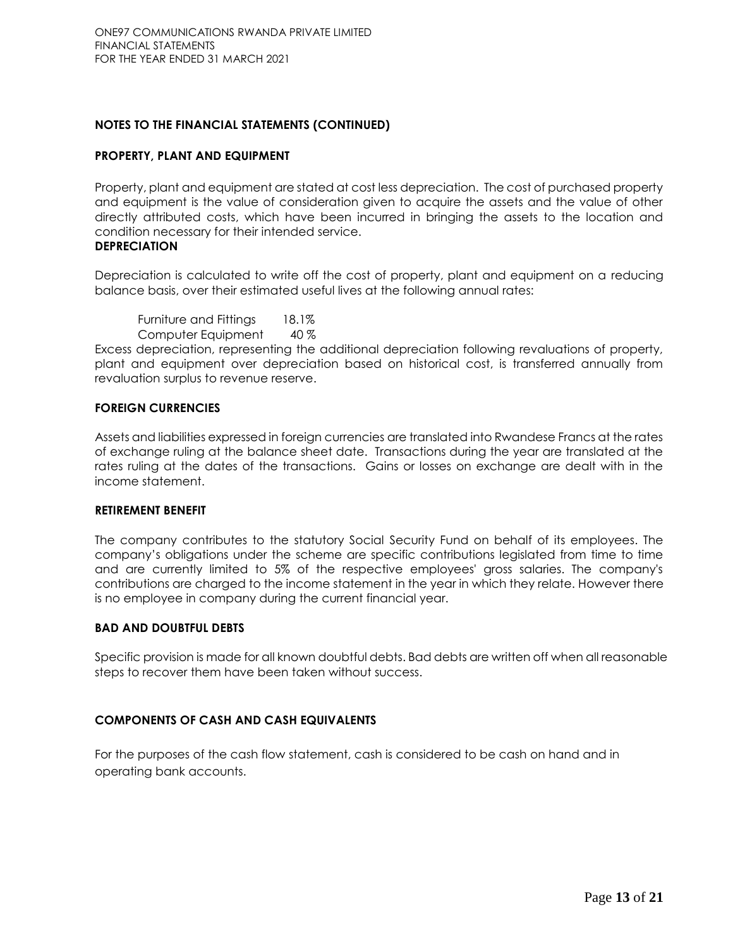### **PROPERTY, PLANT AND EQUIPMENT**

Property, plant and equipment are stated at cost less depreciation. The cost of purchased property and equipment is the value of consideration given to acquire the assets and the value of other directly attributed costs, which have been incurred in bringing the assets to the location and condition necessary for their intended service.

### **DEPRECIATION**

Depreciation is calculated to write off the cost of property, plant and equipment on a reducing balance basis, over their estimated useful lives at the following annual rates:

Furniture and Fittings 18.1% Computer Equipment 40 %

Excess depreciation, representing the additional depreciation following revaluations of property, plant and equipment over depreciation based on historical cost, is transferred annually from revaluation surplus to revenue reserve.

#### **FOREIGN CURRENCIES**

Assets and liabilities expressed in foreign currencies are translated into Rwandese Francs at the rates of exchange ruling at the balance sheet date. Transactions during the year are translated at the rates ruling at the dates of the transactions. Gains or losses on exchange are dealt with in the income statement.

#### **RETIREMENT BENEFIT**

The company contributes to the statutory Social Security Fund on behalf of its employees. The company's obligations under the scheme are specific contributions legislated from time to time and are currently limited to 5% of the respective employees' gross salaries. The company's contributions are charged to the income statement in the year in which they relate. However there is no employee in company during the current financial year.

### **BAD AND DOUBTFUL DEBTS**

Specific provision is made for all known doubtful debts. Bad debts are written off when all reasonable steps to recover them have been taken without success.

### **COMPONENTS OF CASH AND CASH EQUIVALENTS**

For the purposes of the cash flow statement, cash is considered to be cash on hand and in operating bank accounts.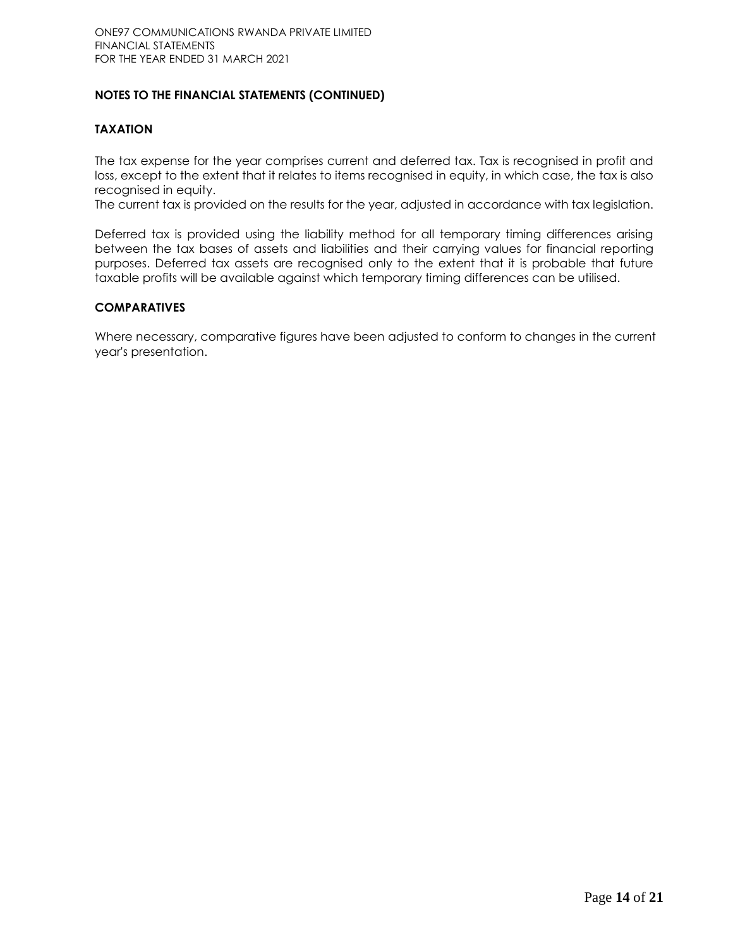# **TAXATION**

The tax expense for the year comprises current and deferred tax. Tax is recognised in profit and loss, except to the extent that it relates to items recognised in equity, in which case, the tax is also recognised in equity.

The current tax is provided on the results for the year, adjusted in accordance with tax legislation.

Deferred tax is provided using the liability method for all temporary timing differences arising between the tax bases of assets and liabilities and their carrying values for financial reporting purposes. Deferred tax assets are recognised only to the extent that it is probable that future taxable profits will be available against which temporary timing differences can be utilised.

### **COMPARATIVES**

Where necessary, comparative figures have been adjusted to conform to changes in the current year's presentation.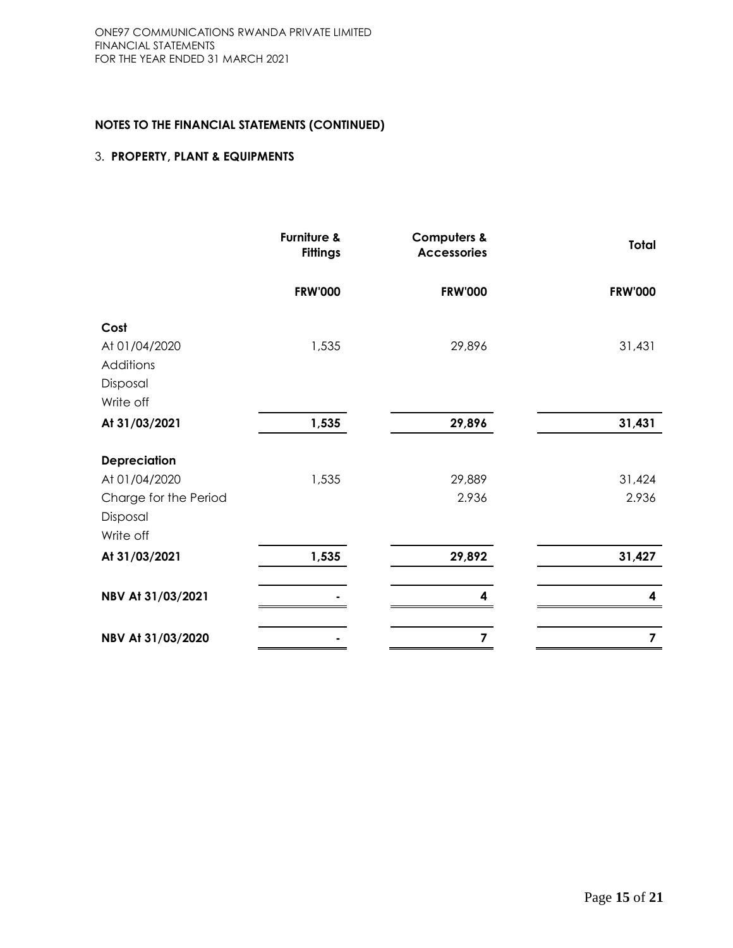### 3. **PROPERTY, PLANT & EQUIPMENTS**

|                                                                 | <b>Furniture &amp;</b><br><b>Fittings</b> | <b>Computers &amp;</b><br><b>Accessories</b> | Total           |
|-----------------------------------------------------------------|-------------------------------------------|----------------------------------------------|-----------------|
|                                                                 | <b>FRW'000</b>                            | <b>FRW'000</b>                               | <b>FRW'000</b>  |
| Cost                                                            |                                           |                                              |                 |
| At 01/04/2020<br>Additions<br>Disposal<br>Write off             | 1,535                                     | 29,896                                       | 31,431          |
| At 31/03/2021                                                   | 1,535                                     | 29,896                                       | 31,431          |
| <b>Depreciation</b>                                             |                                           |                                              |                 |
| At 01/04/2020<br>Charge for the Period<br>Disposal<br>Write off | 1,535                                     | 29,889<br>2.936                              | 31,424<br>2.936 |
| At 31/03/2021                                                   | 1,535                                     | 29,892                                       | 31,427          |
| NBV At 31/03/2021                                               |                                           | 4                                            | 4               |
| NBV At 31/03/2020                                               |                                           | 7                                            | 7               |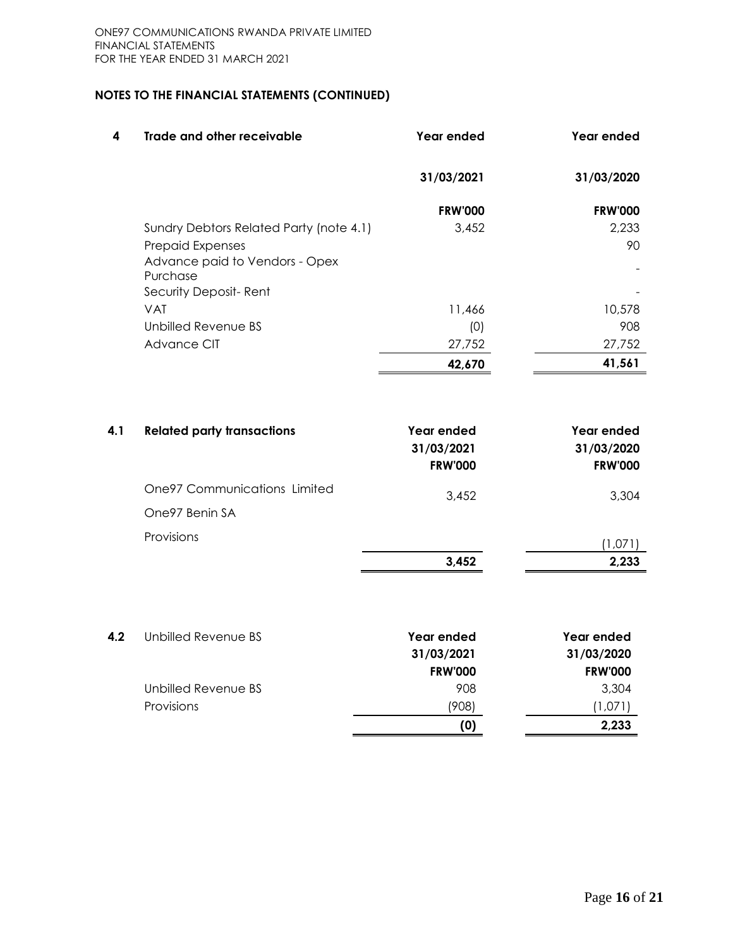| 4 | <b>Trade and other receivable</b>          | Year ended     | Year ended     |
|---|--------------------------------------------|----------------|----------------|
|   |                                            | 31/03/2021     | 31/03/2020     |
|   |                                            | <b>FRW'000</b> | <b>FRW'000</b> |
|   | Sundry Debtors Related Party (note 4.1)    | 3,452          | 2,233          |
|   | <b>Prepaid Expenses</b>                    |                | 90             |
|   | Advance paid to Vendors - Opex<br>Purchase |                |                |
|   | Security Deposit-Rent                      |                |                |
|   | <b>VAT</b>                                 | 11,466         | 10,578         |
|   | Unbilled Revenue BS                        | (0)            | 908            |
|   | Advance CIT                                | 27,752         | 27,752         |
|   |                                            | 42,670         | 41,561         |

| 4.1 | <b>Related party transactions</b>    | Year ended<br>31/03/2021<br><b>FRW'000</b> | Year ended<br>31/03/2020<br><b>FRW'000</b> |
|-----|--------------------------------------|--------------------------------------------|--------------------------------------------|
|     | <b>One 97 Communications Limited</b> | 3,452                                      | 3,304                                      |
|     | One97 Benin SA                       |                                            |                                            |
|     | <b>Provisions</b>                    |                                            | 1,071                                      |
|     |                                      | 3,452                                      | 2,233                                      |

| 4.2 | Unbilled Revenue BS | Year ended<br>31/03/2021<br><b>FRW'000</b> | Year ended<br>31/03/2020<br><b>FRW'000</b> |
|-----|---------------------|--------------------------------------------|--------------------------------------------|
|     | Unbilled Revenue BS | 908                                        | 3,304                                      |
|     | Provisions          | (908)                                      | (1,071)                                    |
|     |                     | (0)                                        | 2,233                                      |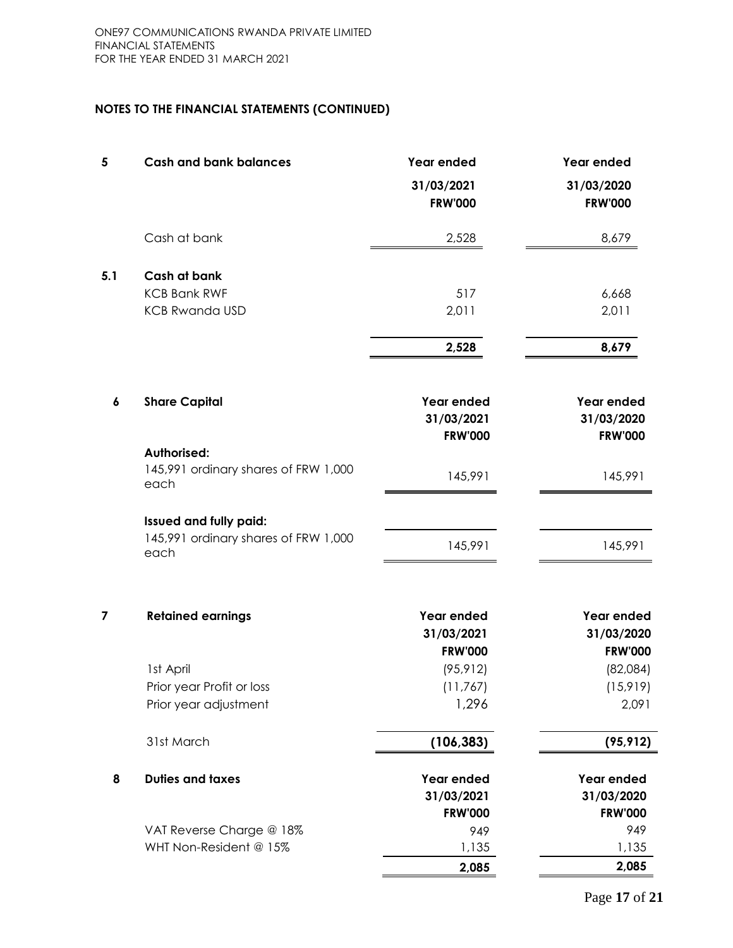| 5   | <b>Cash and bank balances</b>                                      | Year ended                   | Year ended                   |
|-----|--------------------------------------------------------------------|------------------------------|------------------------------|
|     |                                                                    | 31/03/2021<br><b>FRW'000</b> | 31/03/2020<br><b>FRW'000</b> |
|     | Cash at bank                                                       | 2,528                        | 8,679                        |
| 5.1 | Cash at bank                                                       |                              |                              |
|     | <b>KCB Bank RWF</b>                                                | 517                          | 6,668                        |
|     | <b>KCB Rwanda USD</b>                                              | 2,011                        | 2,011                        |
|     |                                                                    | 2,528                        | 8,679                        |
| 6   | <b>Share Capital</b>                                               | Year ended                   | Year ended                   |
|     |                                                                    | 31/03/2021                   | 31/03/2020                   |
|     |                                                                    | <b>FRW'000</b>               | <b>FRW'000</b>               |
|     | <b>Authorised:</b><br>145,991 ordinary shares of FRW 1,000<br>each | 145,991                      | 145,991                      |
|     | Issued and fully paid:                                             |                              |                              |
|     | 145,991 ordinary shares of FRW 1,000<br>each                       | 145,991                      | 145,991                      |
| 7   | <b>Retained earnings</b>                                           | Year ended                   | Year ended                   |
|     |                                                                    | 31/03/2021                   | 31/03/2020                   |
|     | 1st April                                                          | <b>FRW'000</b><br>(95, 912)  | <b>FRW'000</b>               |
|     | Prior year Profit or loss                                          | (11, 767)                    | (82,084)<br>(15, 919)        |
|     | Prior year adjustment                                              | 1,296                        | 2,091                        |
|     | 31st March                                                         | (106, 383)                   | (95, 912)                    |
| 8   | <b>Duties and taxes</b>                                            | Year ended                   | Year ended                   |
|     |                                                                    | 31/03/2021                   | 31/03/2020                   |
|     |                                                                    | <b>FRW'000</b>               | <b>FRW'000</b>               |
|     | VAT Reverse Charge @ 18%                                           | 949                          | 949                          |
|     | WHT Non-Resident @ 15%                                             | 1,135                        | 1,135                        |
|     |                                                                    | 2,085                        | 2,085                        |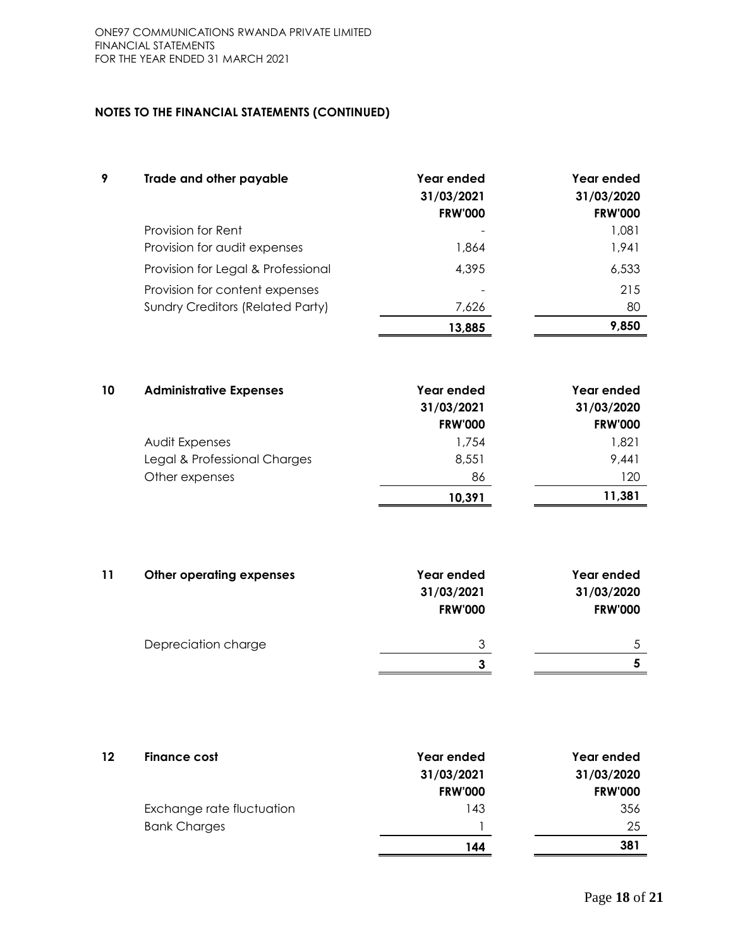| 9  | Trade and other payable                 | Year ended<br>31/03/2021<br><b>FRW'000</b> | Year ended<br>31/03/2020<br><b>FRW'000</b> |
|----|-----------------------------------------|--------------------------------------------|--------------------------------------------|
|    | Provision for Rent                      |                                            | 1,081                                      |
|    | Provision for audit expenses            | 1,864                                      | 1,941                                      |
|    | Provision for Legal & Professional      | 4,395                                      | 6,533                                      |
|    | Provision for content expenses          |                                            | 215                                        |
|    | <b>Sundry Creditors (Related Party)</b> | 7,626                                      | 80                                         |
|    |                                         | 13,885                                     | 9,850                                      |
|    |                                         |                                            |                                            |
| 10 | <b>Administrative Expenses</b>          | Year ended                                 | Year ended                                 |
|    |                                         | 31/03/2021<br><b>FRW'000</b>               | 31/03/2020<br><b>FRW'000</b>               |
|    | Audit Expenses                          | 1,754                                      | 1,821                                      |
|    | Legal & Professional Charges            | 8,551                                      | 9,441                                      |
|    | Other expenses                          | 86                                         | 120                                        |
|    |                                         | 10,391                                     | 11,381                                     |
|    |                                         |                                            |                                            |
| 11 | <b>Other operating expenses</b>         | Year ended                                 | Year ended                                 |
|    |                                         | 31/03/2021                                 | 31/03/2020                                 |
|    |                                         | <b>FRW'000</b>                             | <b>FRW'000</b>                             |
|    | Depreciation charge                     | 3                                          | 5                                          |
|    |                                         | 3                                          | 5                                          |

| 12 | Finance cost              | Year ended     | Year ended     |
|----|---------------------------|----------------|----------------|
|    |                           | 31/03/2021     | 31/03/2020     |
|    |                           | <b>FRW'000</b> | <b>FRW'000</b> |
|    | Exchange rate fluctuation | 143            | 356            |
|    | <b>Bank Charges</b>       |                | 25             |
|    |                           | 144            | 381            |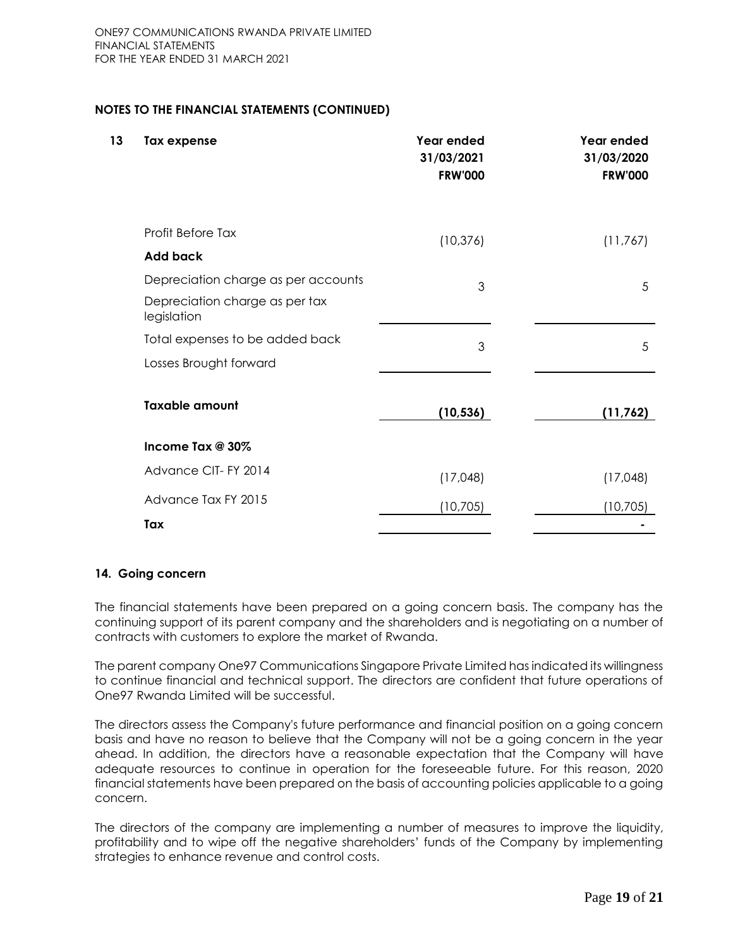| 13 | Tax expense                                   | Year ended<br>31/03/2021<br><b>FRW'000</b> | Year ended<br>31/03/2020<br><b>FRW'000</b> |
|----|-----------------------------------------------|--------------------------------------------|--------------------------------------------|
|    | Profit Before Tax                             | (10, 376)                                  | (11,767)                                   |
|    | <b>Add back</b>                               |                                            |                                            |
|    | Depreciation charge as per accounts           | 3                                          | 5                                          |
|    | Depreciation charge as per tax<br>legislation |                                            |                                            |
|    | Total expenses to be added back               | 3                                          | 5                                          |
|    | Losses Brought forward                        |                                            |                                            |
|    | <b>Taxable amount</b>                         | (10, 536)                                  | (11,762)                                   |
|    | Income Tax @ 30%                              |                                            |                                            |
|    | Advance CIT- FY 2014                          | (17,048)                                   | (17,048)                                   |
|    | Advance Tax FY 2015                           | (10, 705)                                  | (10, 705)                                  |
|    | Tax                                           |                                            |                                            |

### **14. Going concern**

The financial statements have been prepared on a going concern basis. The company has the continuing support of its parent company and the shareholders and is negotiating on a number of contracts with customers to explore the market of Rwanda.

The parent company One97 Communications Singapore Private Limited has indicated its willingness to continue financial and technical support. The directors are confident that future operations of One97 Rwanda Limited will be successful.

The directors assess the Company's future performance and financial position on a going concern basis and have no reason to believe that the Company will not be a going concern in the year ahead. In addition, the directors have a reasonable expectation that the Company will have adequate resources to continue in operation for the foreseeable future. For this reason, 2020 financial statements have been prepared on the basis of accounting policies applicable to a going concern.

The directors of the company are implementing a number of measures to improve the liquidity, profitability and to wipe off the negative shareholders' funds of the Company by implementing strategies to enhance revenue and control costs.